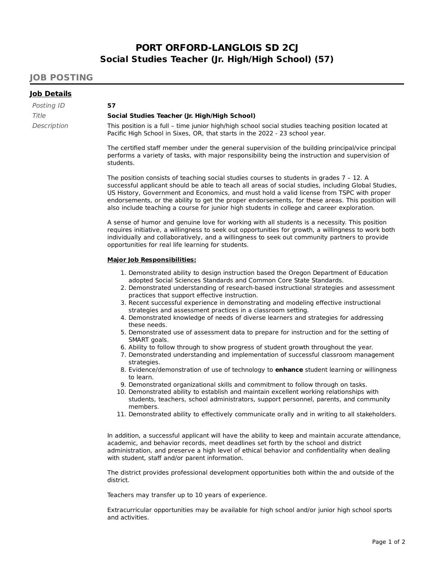## **PORT ORFORD-LANGLOIS SD 2CJ Social Studies Teacher (Jr. High/High School) (57)**

## **JOB POSTING**

## **Job Details**

| Posting ID  | 57                                                                                                                                                                                |  |  |
|-------------|-----------------------------------------------------------------------------------------------------------------------------------------------------------------------------------|--|--|
| Title       | Social Studies Teacher (Jr. High/High School)                                                                                                                                     |  |  |
| Description | This position is a full - time junior high/high school social studies teaching position located at<br>Pacific High School in Sixes, OR, that starts in the 2022 - 23 school year. |  |  |

The certified staff member under the general supervision of the building principal/vice principal performs a variety of tasks, with major responsibility being the instruction and supervision of students.

The position consists of teaching social studies courses to students in grades 7 – 12. A successful applicant should be able to teach all areas of social studies, including Global Studies, US History, Government and Economics, and must hold a valid license from TSPC with proper endorsements, or the ability to get the proper endorsements, for these areas. This position will also include teaching a course for junior high students in college and career exploration.

A sense of humor and genuine love for working with all students is a necessity. This position requires initiative, a willingness to seek out opportunities for growth, a willingness to work both individually and collaboratively, and a willingness to seek out community partners to provide opportunities for real life learning for students.

## **Major Job Responsibilities:**

- 1. Demonstrated ability to design instruction based the Oregon Department of Education adopted Social Sciences Standards and Common Core State Standards.
- 2. Demonstrated understanding of research-based instructional strategies and assessment practices that support effective instruction.
- 3. Recent successful experience in demonstrating and modeling effective instructional strategies and assessment practices in a classroom setting.
- 4. Demonstrated knowledge of needs of diverse learners and strategies for addressing these needs.
- 5. Demonstrated use of assessment data to prepare for instruction and for the setting of SMART goals.
- 6. Ability to follow through to show progress of student growth throughout the year.
- 7. Demonstrated understanding and implementation of successful classroom management strategies.
- 8. Evidence/demonstration of use of technology to **enhance** student learning or willingness to learn.
- 9. Demonstrated organizational skills and commitment to follow through on tasks.
- 10. Demonstrated ability to establish and maintain excellent working relationships with students, teachers, school administrators, support personnel, parents, and community members.
- 11. Demonstrated ability to effectively communicate orally and in writing to all stakeholders.

In addition, a successful applicant will have the ability to keep and maintain accurate attendance, academic, and behavior records, meet deadlines set forth by the school and district administration, and preserve a high level of ethical behavior and confidentiality when dealing with student, staff and/or parent information.

The district provides professional development opportunities both within the and outside of the district.

Teachers may transfer up to 10 years of experience.

Extracurricular opportunities may be available for high school and/or junior high school sports and activities.